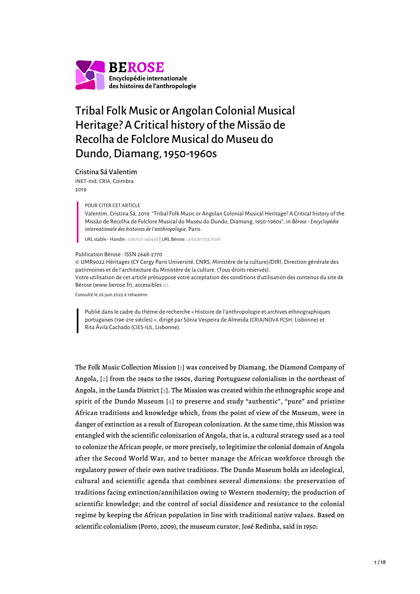

# Tribal Folk Music or Angolan Colonial Musical Heritage? A Critical history of the Missão de Recolha de Folclore Musical do Museu do Dundo, Diamang, 1950-1960s

#### Cristina Sá Valentim

INET-md, CRIA, Coimbra 2019

POUR CITER CET ARTICLE

Valentim, Cristina Sá, 2019. "Tribal Folk Music or Angolan Colonial Musical Heritage? A Critical history of the Missão de Recolha de Folclore Musical do Museu do Dundo, Diamang, 1950-1960s", in *Bérose - Encyclopédie internationale des histoires de l'anthropologie*, Paris.

URL stable - Handle : [10670/1.i4b43d](https://hdl.handle.net/10670/1.i4b43d) | URL Bérose : [article1703.html](https://www.berose.fr/article1703.html)

#### Publication Bérose : ISSN 2648-2770

© UMR9022 Héritages (CY Cergy Paris Université, CNRS, Ministère de la culture)/DIRI, Direction générale des patrimoines et de l'architecture du Ministère de la culture. (Tous droits réservés). Votre utilisation de cet article présuppose votre acceptation des conditions d'utilisation des contenus du site de Bérose (www.berose.fr), accessibles [ici.](http://www.berose.fr/?Credits-Copyright)

Consulté le 26 juin 2022 à 19h49min

Publié dans le cadre du thème de recherche « Histoire de l'anthropologie et archives ethnographiques portugaises (19e-21e siècles) », dirigé par Sónia Vespeira de Almeida (CRIA/NOVA FCSH, Lisbonne) et Rita Ávila Cachado (CIES-IUL, Lisbonne).

<span id="page-0-3"></span><span id="page-0-2"></span><span id="page-0-1"></span><span id="page-0-0"></span>The Folk Music Collection Mission [[1\]](#page-15-0) was conceived by Diamang, the Diamond Company of Angola, [\[2](#page-15-1)] from the 1940s to the 1960s, during Portuguese colonialism in the northeast of Angola, in the Lunda District [[3](#page-15-2)]. The Mission was created within the ethnographic scope and spirit of the Dundo Museum [[4\]](#page-15-3) to preserve and study "authentic", "pure" and pristine African traditions and knowledge which, from the point of view of the Museum, were in danger of extinction as a result of European colonization. At the same time, this Mission was entangled with the scientific colonization of Angola, that is, a cultural strategy used as a tool to colonize the African people, or more precisely, to legitimize the colonial domain of Angola after the Second World War, and to better manage the African workforce through the regulatory power of their own native traditions. The Dundo Museum holds an ideological, cultural and scientific agenda that combines several dimensions: the preservation of traditions facing extinction/annihilation owing to Western modernity; the production of scientific knowledge; and the control of social dissidence and resistance to the colonial regime by keeping the African population in line with traditional native values. Based on scientific colonialism (Porto, 2009), the museum curator, José Redinha, said in 1950: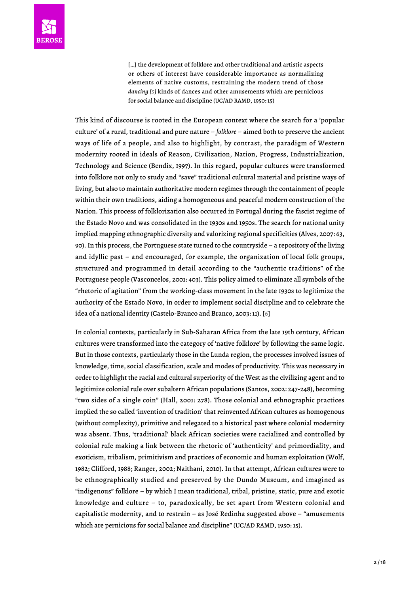[...] the development of folklore and other traditional and artistic aspects or others of interest have considerable importance as normalizing elements of native customs, restraining the modern trend of those *dancing [[5\]](#page-15-4)* kinds of dances and other amusements which are pernicious for social balance and discipline (UC/AD RAMD, 1950: 15)

<span id="page-1-0"></span>This kind of discourse is rooted in the European context where the search for a 'popular culture' of a rural, traditional and pure nature – *folklore* – aimed both to preserve the ancient ways of life of a people, and also to highlight, by contrast, the paradigm of Western modernity rooted in ideals of Reason, Civilization, Nation, Progress, Industrialization, Technology and Science (Bendix, 1997). In this regard, popular cultures were transformed into folklore not only to study and "save" traditional cultural material and pristine ways of living, but also to maintain authoritative modern regimes through the containment of people within their own traditions, aiding a homogeneous and peaceful modern construction of the Nation. This process of folklorization also occurred in Portugal during the fascist regime of the Estado Novo and was consolidated in the 1930s and 1950s. The search for national unity implied mapping ethnographic diversity and valorizing regional specificities (Alves, 2007: 63, 90). In this process, the Portuguese state turned to the countryside – a repository of the living and idyllic past – and encouraged, for example, the organization of local folk groups, structured and programmed in detail according to the "authentic traditions" of the Portuguese people (Vasconcelos, 2001: 403). This policy aimed to eliminate all symbols of the "rhetoric of agitation" from the working-class movement in the late 1930s to legitimize the authority of the Estado Novo, in order to implement social discipline and to celebrate the idea of a national identity (Castelo-Branco and Branco, 2003: 11). [\[6](#page-15-5)]

<span id="page-1-1"></span>In colonial contexts, particularly in Sub-Saharan Africa from the late 19th century, African cultures were transformed into the category of 'native folklore' by following the same logic. But in those contexts, particularly those in the Lunda region, the processes involved issues of knowledge, time, social classification, scale and modes of productivity. This was necessary in order to highlight the racial and cultural superiority of the West as the civilizing agent and to legitimize colonial rule over subaltern African populations (Santos, 2002: 247-248), becoming "two sides of a single coin" (Hall, 2001: 278). Those colonial and ethnographic practices implied the so called 'invention of tradition' that reinvented African cultures as homogenous (without complexity), primitive and relegated to a historical past where colonial modernity was absent. Thus, 'traditional' black African societies were racialized and controlled by colonial rule making a link between the rhetoric of 'authenticity' and primordiality, and exoticism, tribalism, primitivism and practices of economic and human exploitation (Wolf, 1982; Clifford, 1988; Ranger, 2002; Naithani, 2010). In that attempt, African cultures were to be ethnographically studied and preserved by the Dundo Museum, and imagined as "indigenous" folklore – by which I mean traditional, tribal, pristine, static, pure and exotic knowledge and culture – to, paradoxically, be set apart from Western colonial and capitalistic modernity, and to restrain – as José Redinha suggested above – "amusements which are pernicious for social balance and discipline" (UC/AD RAMD, 1950: 15).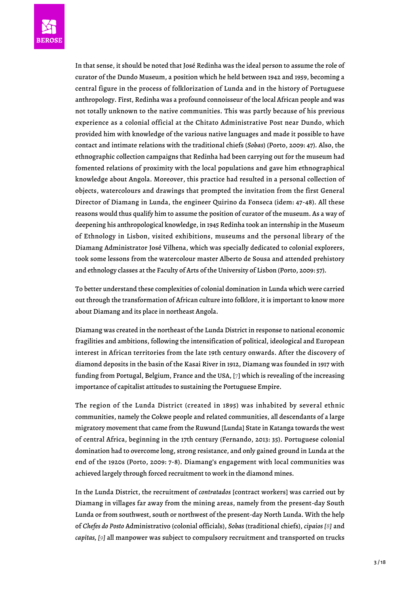

In that sense, it should be noted that José Redinha was the ideal person to assume the role of curator of the Dundo Museum, a position which he held between 1942 and 1959, becoming a central figure in the process of folklorization of Lunda and in the history of Portuguese anthropology. First, Redinha was a profound connoisseur of the local African people and was not totally unknown to the native communities. This was partly because of his previous experience as a colonial official at the Chitato Administrative Post near Dundo, which provided him with knowledge of the various native languages and made it possible to have contact and intimate relations with the traditional chiefs (*Sobas*) (Porto, 2009: 47). Also, the ethnographic collection campaigns that Redinha had been carrying out for the museum had fomented relations of proximity with the local populations and gave him ethnographical knowledge about Angola. Moreover, this practice had resulted in a personal collection of objects, watercolours and drawings that prompted the invitation from the first General Director of Diamang in Lunda, the engineer Quirino da Fonseca (idem: 47-48). All these reasons would thus qualify him to assume the position of curator of the museum. As a way of deepening his anthropological knowledge, in 1945 Redinha took an internship in the Museum of Ethnology in Lisbon, visited exhibitions, museums and the personal library of the Diamang Administrator José Vilhena, which was specially dedicated to colonial explorers, took some lessons from the watercolour master Alberto de Sousa and attended prehistory and ethnology classes at the Faculty of Arts of the University of Lisbon (Porto, 2009: 57).

To better understand these complexities of colonial domination in Lunda which were carried out through the transformation of African culture into folklore, it is important to know more about Diamang and its place in northeast Angola.

Diamang was created in the northeast of the Lunda District in response to national economic fragilities and ambitions, following the intensification of political, ideological and European interest in African territories from the late 19th century onwards. After the discovery of diamond deposits in the basin of the Kasai River in 1912, Diamang was founded in 1917 with funding from Portugal, Belgium, France and the USA, [\[7\]](#page-15-6) which is revealing of the increasing importance of capitalist attitudes to sustaining the Portuguese Empire.

<span id="page-2-0"></span>The region of the Lunda District (created in 1895) was inhabited by several ethnic communities, namely the Cokwe people and related communities, all descendants of a large migratory movement that came from the Ruwund [Lunda] State in Katanga towards the west of central Africa, beginning in the 17th century (Fernando, 2013: 35). Portuguese colonial domination had to overcome long, strong resistance, and only gained ground in Lunda at the end of the 1920s (Porto, 2009: 7-8). Diamang's engagement with local communities was achieved largely through forced recruitment to work in the diamond mines.

<span id="page-2-2"></span><span id="page-2-1"></span>In the Lunda District, the recruitment of *contratados* [contract workers] was carried out by Diamang in villages far away from the mining areas, namely from the present-day South Lunda or from southwest, south or northwest of the present-day North Lunda. With the help of *Chefes do Posto* Administrativo (colonial officials), *Sobas* (traditional chiefs), *cipaios [[8\]](#page-15-7)* and *capitas, [[9](#page-15-8)]* all manpower was subject to compulsory recruitment and transported on trucks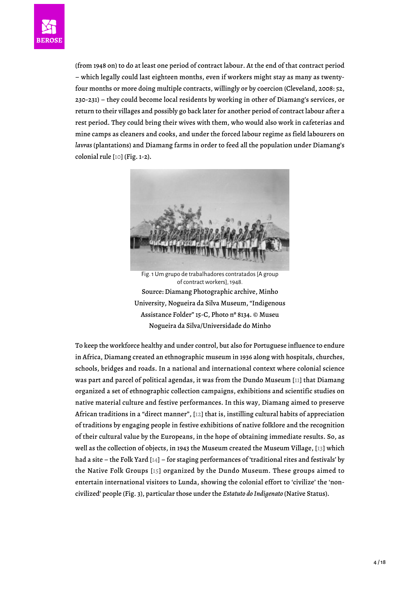

<span id="page-3-0"></span>(from 1948 on) to do at least one period of contract labour. At the end of that contract period – which legally could last eighteen months, even if workers might stay as many as twentyfour months or more doing multiple contracts, willingly or by coercion (Cleveland, 2008: 52, 230-231) – they could become local residents by working in other of Diamang's services, or return to their villages and possibly go back later for another period of contract labour after a rest period. They could bring their wives with them, who would also work in cafeterias and mine camps as cleaners and cooks, and under the forced labour regime as field labourers on *lavras* (plantations) and Diamang farms in order to feed all the population under Diamang's colonial rule [[10](#page-15-9)] (Fig. 1-2).



Fig. 1 Um grupo de trabalhadores contratados [A group of contract workers], 1948. Source: Diamang Photographic archive, Minho University, Nogueira da Silva Museum, "Indigenous Assistance Folder" 15-C, Photo nº 8134. © Museu Nogueira da Silva/Universidade do Minho

<span id="page-3-5"></span><span id="page-3-4"></span><span id="page-3-3"></span><span id="page-3-2"></span><span id="page-3-1"></span>To keep the workforce healthy and under control, but also for Portuguese influence to endure in Africa, Diamang created an ethnographic museum in 1936 along with hospitals, churches, schools, bridges and roads. In a national and international context where colonial science was part and parcel of political agendas, it was from the Dundo Museum [[11\]](#page-16-0) that Diamang organized a set of ethnographic collection campaigns, exhibitions and scientific studies on native material culture and festive performances. In this way, Diamang aimed to preserve African traditions in a "direct manner", [[12](#page-16-1)] that is, instilling cultural habits of appreciation of traditions by engaging people in festive exhibitions of native folklore and the recognition of their cultural value by the Europeans, in the hope of obtaining immediate results. So, as well as the collection of objects, in 1943 the Museum created the Museum Village, [[13\]](#page-16-2) which had a site – the Folk Yard [\[14\]](#page-16-3) – for staging performances of 'traditional rites and festivals' by the Native Folk Groups [[15](#page-16-4)] organized by the Dundo Museum. These groups aimed to entertain international visitors to Lunda, showing the colonial effort to 'civilize' the 'noncivilized' people (Fig. 3), particular those under the *Estatuto do Indigenato* (Native Status).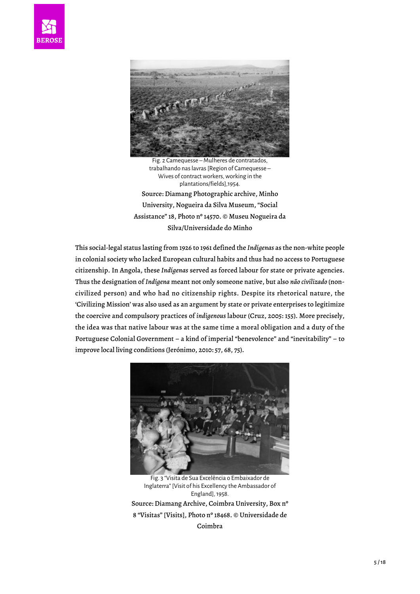



Fig. 2 Camequesse – Mulheres de contratados, trabalhando nas lavras [Region of Camequesse – Wives of contract workers, working in the plantations/fields],1954. Source: Diamang Photographic archive, Minho University, Nogueira da Silva Museum, "Social Assistance" 18, Photo nº 14570. © Museu Nogueira da Silva/Universidade do Minho

This social-legal status lasting from 1926 to 1961 defined the *Indígenas* as the non-white people in colonial society who lacked European cultural habits and thus had no access to Portuguese citizenship. In Angola, these *Indígenas* served as forced labour for state or private agencies. Thus the designation of *Indígena* meant not only someone native, but also *não civilizado* (noncivilized person) and who had no citizenship rights. Despite its rhetorical nature, the 'Civilizing Mission' was also used as an argument by state or private enterprises to legitimize the coercive and compulsory practices of *indigenous* labour (Cruz, 2005: 155). More precisely, the idea was that native labour was at the same time a moral obligation and a duty of the Portuguese Colonial Government – a kind of imperial "benevolence" and "inevitability" – to improve local living conditions (Jerónimo, 2010: 57, 68, 75).



Fig. 3 "Visita de Sua Excelência o Embaixador de Inglaterra" [Visit of his Excellency the Ambassador of England], 1958. Source: Diamang Archive, Coimbra University, Box nº 8 "Visitas" [Visits], Photo nº 18468. © Universidade de Coimbra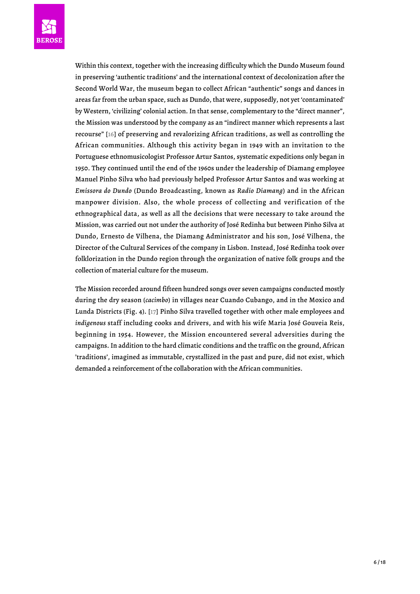

<span id="page-5-0"></span>Within this context, together with the increasing difficulty which the Dundo Museum found in preserving 'authentic traditions' and the international context of decolonization after the Second World War, the museum began to collect African "authentic" songs and dances in areas far from the urban space, such as Dundo, that were, supposedly, not yet 'contaminated' by Western, 'civilizing' colonial action. In that sense, complementary to the "direct manner", the Mission was understood by the company as an "indirect manner which represents a last recourse" [\[16\]](#page-16-5) of preserving and revalorizing African traditions, as well as controlling the African communities. Although this activity began in 1949 with an invitation to the Portuguese ethnomusicologist Professor Artur Santos, systematic expeditions only began in 1950. They continued until the end of the 1960s under the leadership of Diamang employee Manuel Pinho Silva who had previously helped Professor Artur Santos and was working at *Emissora do Dundo* (Dundo Broadcasting, known as *Radio Diamang*) and in the African manpower division. Also, the whole process of collecting and verification of the ethnographical data, as well as all the decisions that were necessary to take around the Mission, was carried out not under the authority of José Redinha but between Pinho Silva at Dundo, Ernesto de Vilhena, the Diamang Administrator and his son, José Vilhena, the Director of the Cultural Services of the company in Lisbon. Instead, José Redinha took over folklorization in the Dundo region through the organization of native folk groups and the collection of material culture for the museum.

<span id="page-5-1"></span>The Mission recorded around fifteen hundred songs over seven campaigns conducted mostly during the dry season (*cacimbo*) in villages near Cuando Cubango, and in the Moxico and Lunda Districts (Fig. 4). [\[17](#page-16-6)] Pinho Silva travelled together with other male employees and *indigenous* staff including cooks and drivers, and with his wife Maria José Gouveia Reis, beginning in 1954. However, the Mission encountered several adversities during the campaigns. In addition to the hard climatic conditions and the traffic on the ground, African 'traditions', imagined as immutable, crystallized in the past and pure, did not exist, which demanded a reinforcement of the collaboration with the African communities.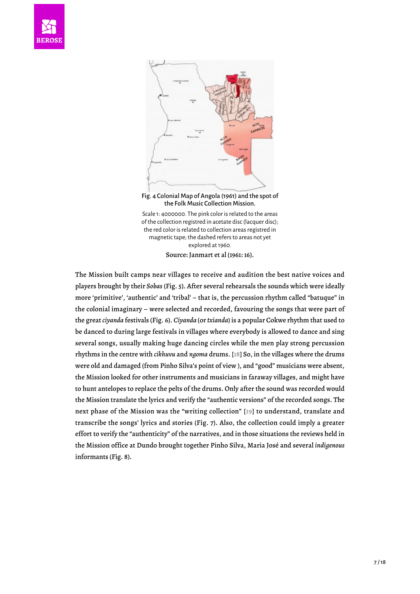



Fig. 4 Colonial Map of Angola (1961) and the spot of the Folk Music Collection Mission.

Scale 1: 4000000. The pink color is related to the areas of the collection registred in acetate disc (lacquer disc); the red color is related to collection areas registred in magnetic tape; the dashed refers to areas not yet explored at 1960. Source: Janmart et al (1961: 16).

<span id="page-6-1"></span><span id="page-6-0"></span>The Mission built camps near villages to receive and audition the best native voices and players brought by their *Sobas* (Fig. 5). After several rehearsals the sounds which were ideally more 'primitive', 'authentic' and 'tribal' – that is, the percussion rhythm called "batuque" in the colonial imaginary – were selected and recorded, favouring the songs that were part of the great *ciyanda* festivals (Fig. 6). *Ciyanda* (or *txianda*) is a popular Cokwe rhythm that used to be danced to during large festivals in villages where everybody is allowed to dance and sing several songs, usually making huge dancing circles while the men play strong percussion rhythms in the centre with *cikhuvu* and *ngoma* drums. [[18](#page-16-7)] So, in the villages where the drums were old and damaged (from Pinho Silva's point of view ), and "good" musicians were absent, the Mission looked for other instruments and musicians in faraway villages, and might have to hunt antelopes to replace the pelts of the drums. Only after the sound was recorded would the Mission translate the lyrics and verify the "authentic versions" of the recorded songs. The next phase of the Mission was the "writing collection" [[19](#page-16-8)] to understand, translate and transcribe the songs' lyrics and stories (Fig. 7). Also, the collection could imply a greater effort to verify the "authenticity" of the narratives, and in those situations the reviews held in the Mission office at Dundo brought together Pinho Silva, Maria José and several *indigenous* informants (Fig. 8).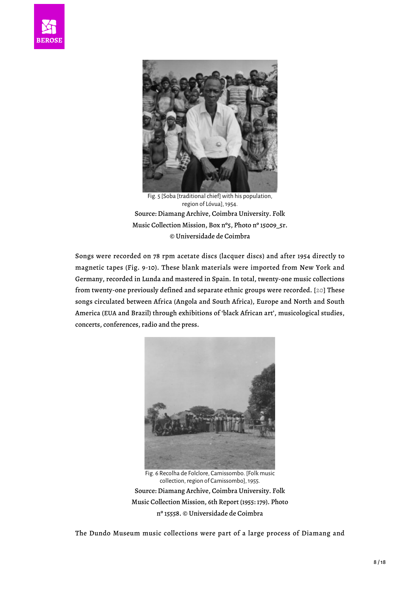



Fig. 5 [Soba [traditional chief] with his population, region of Lóvua], 1954. Source: Diamang Archive, Coimbra University. Folk Music Collection Mission, Box nº5, Photo nº 15009\_5r. © Universidade de Coimbra

<span id="page-7-0"></span>Songs were recorded on 78 rpm acetate discs (lacquer discs) and after 1954 directly to magnetic tapes (Fig. 9-10). These blank materials were imported from New York and Germany, recorded in Lunda and mastered in Spain. In total, twenty-one music collections from twenty-one previously defined and separate ethnic groups were recorded. [\[20](#page-16-9)] These songs circulated between Africa (Angola and South Africa), Europe and North and South America (EUA and Brazil) through exhibitions of 'black African art', musicological studies, concerts, conferences, radio and the press.



Fig. 6 Recolha de Folclore, Camissombo. [Folk music collection, region of Camissombo], 1955. Source: Diamang Archive, Coimbra University. Folk Music Collection Mission, 6th Report (1955: 179). Photo nº 15558. © Universidade de Coimbra

The Dundo Museum music collections were part of a large process of Diamang and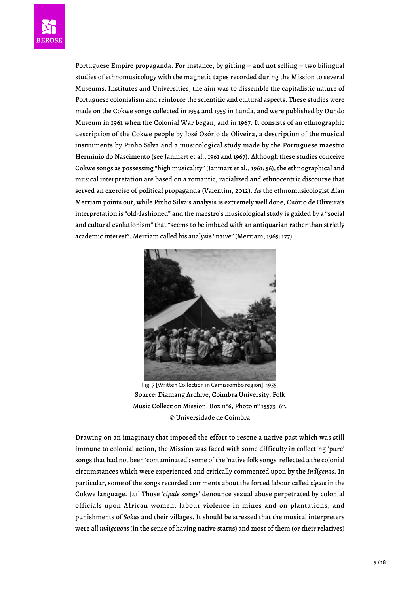

Portuguese Empire propaganda. For instance, by gifting – and not selling – two bilingual studies of ethnomusicology with the magnetic tapes recorded during the Mission to several Museums, Institutes and Universities, the aim was to dissemble the capitalistic nature of Portuguese colonialism and reinforce the scientific and cultural aspects. These studies were made on the Cokwe songs collected in 1954 and 1955 in Lunda, and were published by Dundo Museum in 1961 when the Colonial War began, and in 1967. It consists of an ethnographic description of the Cokwe people by José Osório de Oliveira, a description of the musical instruments by Pinho Silva and a musicological study made by the Portuguese maestro Hermínio do Nascimento (see Janmart et al., 1961 and 1967). Although these studies conceive Cokwe songs as possessing "high musicality" (Janmart et al., 1961: 56), the ethnographical and musical interpretation are based on a romantic, racialized and ethnocentric discourse that served an exercise of political propaganda (Valentim, 2012). As the ethnomusicologist Alan Merriam points out, while Pinho Silva's analysis is extremely well done, Osório de Oliveira's interpretation is "old-fashioned" and the maestro's musicological study is guided by a "social and cultural evolutionism" that "seems to be imbued with an antiquarian rather than strictly academic interest". Merriam called his analysis "naive" (Merriam, 1965: 177).



Fig. 7 [Written Collection in Camissombo region], 1955. Source: Diamang Archive, Coimbra University. Folk Music Collection Mission, Box nº6, Photo nº 15573\_6r. © Universidade de Coimbra

<span id="page-8-0"></span>Drawing on an imaginary that imposed the effort to rescue a native past which was still immune to colonial action, the Mission was faced with some difficulty in collecting 'pure' songs that had not been 'contaminated': some of the 'native folk songs' reflected a the colonial circumstances which were experienced and critically commented upon by the *Indígenas*. In particular, some of the songs recorded comments about the forced labour called *cipale* in the Cokwe language. [[21](#page-16-10)] Those '*cipale* songs' denounce sexual abuse perpetrated by colonial officials upon African women, labour violence in mines and on plantations, and punishments of *Sobas* and their villages. It should be stressed that the musical interpreters were all *indigenous* (in the sense of having native status) and most of them (or their relatives)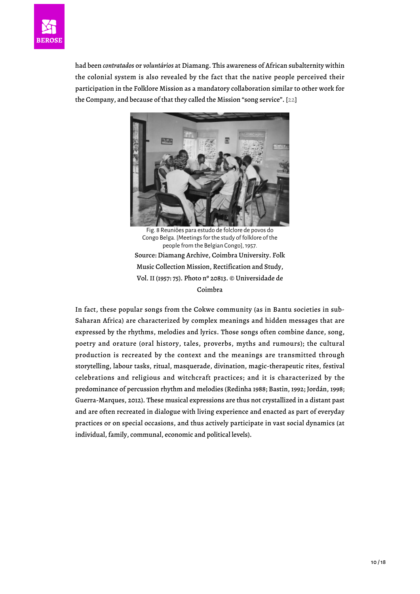

<span id="page-9-0"></span>had been *contratados* or *voluntários* at Diamang. This awareness of African subalternity within the colonial system is also revealed by the fact that the native people perceived their participation in the Folklore Mission as a mandatory collaboration similar to other work for the Company, and because of that they called the Mission "song service". [\[22\]](#page-16-11)



Fig. 8 Reuniões para estudo de folclore de povos do Congo Belga. [Meetings for the study of folklore of the people from the Belgian Congo], 1957. Source: Diamang Archive, Coimbra University. Folk Music Collection Mission, Rectification and Study, Vol. II (1957: 75). Photo nº 20813. © Universidade de Coimbra

In fact, these popular songs from the Cokwe community (as in Bantu societies in sub-Saharan Africa) are characterized by complex meanings and hidden messages that are expressed by the rhythms, melodies and lyrics. Those songs often combine dance, song, poetry and orature (oral history, tales, proverbs, myths and rumours); the cultural production is recreated by the context and the meanings are transmitted through storytelling, labour tasks, ritual, masquerade, divination, magic-therapeutic rites, festival celebrations and religious and witchcraft practices; and it is characterized by the predominance of percussion rhythm and melodies (Redinha 1988; Bastin, 1992; Jordán, 1998; Guerra-Marques, 2012). These musical expressions are thus not crystallized in a distant past and are often recreated in dialogue with living experience and enacted as part of everyday practices or on special occasions, and thus actively participate in vast social dynamics (at individual, family, communal, economic and political levels).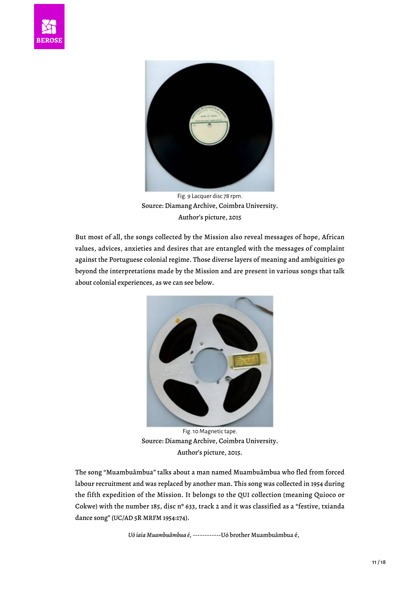



Fig. 9 Lacquer disc 78 rpm. Source: Diamang Archive, Coimbra University. Author's picture, 2015

But most of all, the songs collected by the Mission also reveal messages of hope, African values, advices, anxieties and desires that are entangled with the messages of complaint against the Portuguese colonial regime. Those diverse layers of meaning and ambiguities go beyond the interpretations made by the Mission and are present in various songs that talk about colonial experiences, as we can see below.



Fig. 10 Magnetic tape. Source: Diamang Archive, Coimbra University. Author's picture, 2015.

The song "Muambuâmbua" talks about a man named Muambuâmbua who fled from forced labour recruitment and was replaced by another man. This song was collected in 1954 during the fifth expedition of the Mission. It belongs to the QUI collection (meaning Quioco or Cokwe) with the number 185, disc nº 633, track 2 and it was classified as a "festive, txianda dance song" (UC/AD 5R MRFM 1954:174).

*Uó iaia Muambuâmbua é*, ------------Uó brother Muambuâmbua é,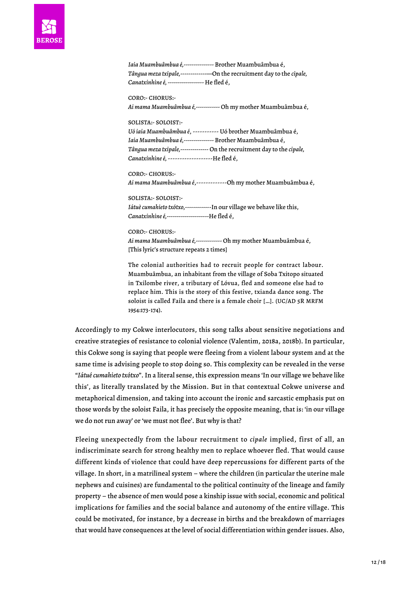*Iaia Muambuâmbua é,---------------* Brother Muambuâmbua é, *Tângua meza txipale,-------------*—On the recruitment day to the *cipale, Canatxinhine é, ------------------* He fled é,

CORO:- CHORUS:- *Ai mama Muambuâmbua é,------------* Oh my mother Muambuâmbua é,

SOLISTA:- SOLOIST:- *Uó iaia Muambuâmbua é*, ----------- Uó brother Muambuâmbua é, *Iaia Muambuâmbua é,---------------* Brother Muambuâmbua é, *Tângua meza txipale,--------------* On the recruitment day to the *cipale, Canatxinhine é,* -------------------He fled é,

CORO:- CHORUS:- *Ai mama Muambuâmbua é*,-------------Oh my mother Muambuâmbua é,

SOLISTA:- SOLOIST:- *Iátuè cumahieto txótxo,------------*-In our village we behave like this, *Canatxinhine é,---------------------*He fled é,

CORO:- CHORUS:- *Ai mama Muambuâmbua é,-------------* Oh my mother Muambuâmbua é, [This lyric's structure repeats 2 times]

The colonial authorities had to recruit people for contract labour. Muambuâmbua, an inhabitant from the village of Soba Txitopo situated in Txilombe river, a tributary of Lóvua, fled and someone else had to replace him. This is the story of this festive, txianda dance song. The soloist is called Faila and there is a female choir […]. (UC/AD 5R MRFM 1954:173-174).

Accordingly to my Cokwe interlocutors, this song talks about sensitive negotiations and creative strategies of resistance to colonial violence (Valentim, 2018a, 2018b). In particular, this Cokwe song is saying that people were fleeing from a violent labour system and at the same time is advising people to stop doing so. This complexity can be revealed in the verse "*Iátué cumahieto txótxo*". In a literal sense, this expression means 'In our village we behave like this', as literally translated by the Mission. But in that contextual Cokwe universe and metaphorical dimension, and taking into account the ironic and sarcastic emphasis put on those words by the soloist Faila, it has precisely the opposite meaning, that is: 'in our village we do not run away' or 'we must not flee'. But why is that?

Fleeing unexpectedly from the labour recruitment to *cipale* implied, first of all, an indiscriminate search for strong healthy men to replace whoever fled. That would cause different kinds of violence that could have deep repercussions for different parts of the village. In short, in a matrilineal system – where the children (in particular the uterine male nephews and cuisines) are fundamental to the political continuity of the lineage and family property – the absence of men would pose a kinship issue with social, economic and political implications for families and the social balance and autonomy of the entire village. This could be motivated, for instance, by a decrease in births and the breakdown of marriages that would have consequences at the level of social differentiation within gender issues. Also,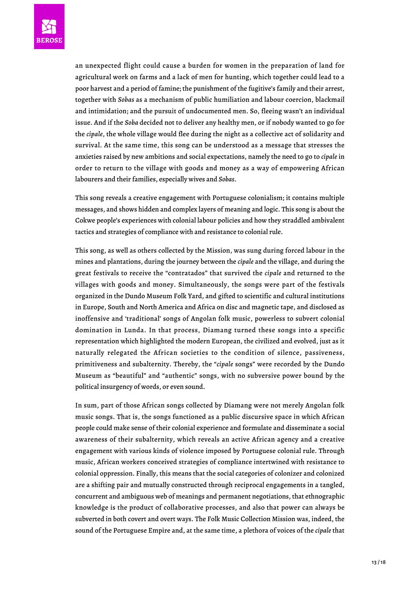

an unexpected flight could cause a burden for women in the preparation of land for agricultural work on farms and a lack of men for hunting, which together could lead to a poor harvest and a period of famine; the punishment of the fugitive's family and their arrest, together with *Sobas* as a mechanism of public humiliation and labour coercion, blackmail and intimidation; and the pursuit of undocumented men. So, fleeing wasn't an individual issue. And if the *Soba* decided not to deliver any healthy men, or if nobody wanted to go for the *cipale*, the whole village would flee during the night as a collective act of solidarity and survival. At the same time, this song can be understood as a message that stresses the anxieties raised by new ambitions and social expectations, namely the need to go to *cipale* in order to return to the village with goods and money as a way of empowering African labourers and their families, especially wives and *Sobas*.

This song reveals a creative engagement with Portuguese colonialism; it contains multiple messages, and shows hidden and complex layers of meaning and logic. This song is about the Cokwe people's experiences with colonial labour policies and how they straddled ambivalent tactics and strategies of compliance with and resistance to colonial rule.

This song, as well as others collected by the Mission, was sung during forced labour in the mines and plantations, during the journey between the *cipale* and the village, and during the great festivals to receive the "contratados" that survived the *cipale* and returned to the villages with goods and money. Simultaneously, the songs were part of the festivals organized in the Dundo Museum Folk Yard, and gifted to scientific and cultural institutions in Europe, South and North America and Africa on disc and magnetic tape, and disclosed as inoffensive and 'traditional' songs of Angolan folk music, powerless to subvert colonial domination in Lunda. In that process, Diamang turned these songs into a specific representation which highlighted the modern European, the civilized and evolved, just as it naturally relegated the African societies to the condition of silence, passiveness, primitiveness and subalternity. Thereby, the "*cipale* songs" were recorded by the Dundo Museum as "beautiful" and "authentic" songs, with no subversive power bound by the political insurgency of words, or even sound.

In sum, part of those African songs collected by Diamang were not merely Angolan folk music songs. That is, the songs functioned as a public discursive space in which African people could make sense of their colonial experience and formulate and disseminate a social awareness of their subalternity, which reveals an active African agency and a creative engagement with various kinds of violence imposed by Portuguese colonial rule. Through music, African workers conceived strategies of compliance intertwined with resistance to colonial oppression. Finally, this means that the social categories of colonizer and colonized are a shifting pair and mutually constructed through reciprocal engagements in a tangled, concurrent and ambiguous web of meanings and permanent negotiations, that ethnographic knowledge is the product of collaborative processes, and also that power can always be subverted in both covert and overt ways. The Folk Music Collection Mission was, indeed, the sound of the Portuguese Empire and, at the same time, a plethora of voices of the *cipale* that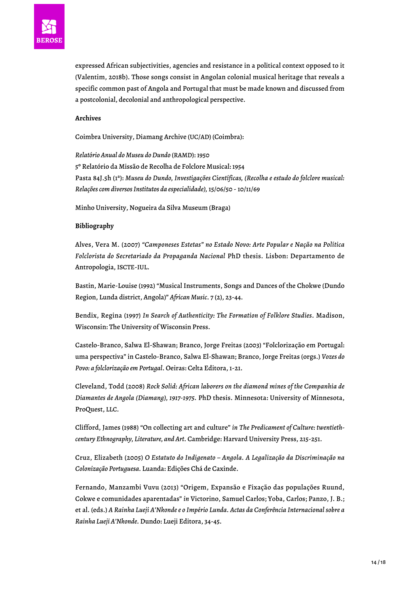

expressed African subjectivities, agencies and resistance in a political context opposed to it (Valentim, 2018b). Those songs consist in Angolan colonial musical heritage that reveals a specific common past of Angola and Portugal that must be made known and discussed from a postcolonial, decolonial and anthropological perspective.

## **Archives**

Coimbra University, Diamang Archive (UC/AD) (Coimbra):

*Relatório Anual do Museu do Dundo* (RAMD): 1950 5º Relatório da Missão de Recolha de Folclore Musical: 1954 Pasta 84J.5h (1ª): *Museu do Dundo, Investigações Científicas, (Recolha e estudo do folclore musical: Relações com diversos Institutos da especialidade),* 15/06/50 - 10/11/69

Minho University, Nogueira da Silva Museum (Braga)

## **Bibliography**

Alves, Vera M. (2007) *"Camponeses Estetas" no Estado Novo: Arte Popular e Nação na Política Folclorista do Secretariado da Propaganda Nacional* PhD thesis. Lisbon: Departamento de Antropologia, ISCTE-IUL.

Bastin, Marie-Louise (1992) "Musical Instruments, Songs and Dances of the Chokwe (Dundo Region, Lunda district, Angola)" *African Music*. 7 (2), 23-44.

Bendix, Regina (1997) *In Search of Authenticity: The Formation of Folklore Studies*. Madison, Wisconsin: The University of Wisconsin Press.

Castelo-Branco, Salwa El-Shawan; Branco, Jorge Freitas (2003) "Folclorização em Portugal: uma perspectiva" in Castelo-Branco, Salwa El-Shawan; Branco, Jorge Freitas (orgs.) *Vozes do Povo: a folclorização em Portugal*. Oeiras: Celta Editora, 1-21.

Cleveland, Todd (2008) *Rock Solid: African laborers on the diamond mines of the Companhia de Diamantes de Angola (Diamang), 1917-1975.* PhD thesis. Minnesota: University of Minnesota, ProQuest, LLC.

Clifford, James (1988) "On collecting art and culture" *in The Predicament of Culture: twentiethcentury Ethnography, Literature, and Art*. Cambridge: Harvard University Press, 215-251.

Cruz, Elizabeth (2005) *O Estatuto do Indigenato – Angola. A Legalização da Discriminação na Colonização Portuguesa.* Luanda: Edições Chá de Caxinde.

Fernando, Manzambi Vuvu (2013) "Origem, Expansão e Fixação das populações Ruund, Cokwe e comunidades aparentadas" *in* Victorino, Samuel Carlos; Yoba, Carlos; Panzo, J. B.; et al. (eds.) *A Rainha Lueji A'Nkonde e o Império Lunda. Actas da Conferência Internacional sobre a Rainha Lueji A'Nkonde.* Dundo: Lueji Editora, 34-45.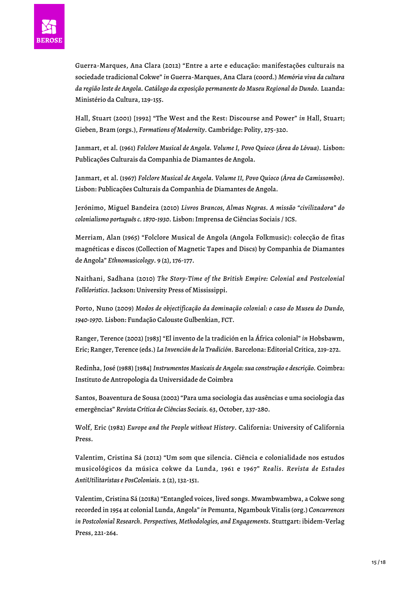

Guerra-Marques, Ana Clara (2012) "Entre a arte e educação: manifestações culturais na sociedade tradicional Cokwe" *in* Guerra-Marques, Ana Clara (coord.) *Memória viva da cultura da região leste de Angola. Catálogo da exposição permanente do Museu Regional do Dundo.* Luanda: Ministério da Cultura, 129-155.

Hall, Stuart (2001) [1992] "The West and the Rest: Discourse and Power" *in* Hall, Stuart; Gieben, Bram (orgs.), *Formations of Modernity*. Cambridge: Polity, 275-320.

Janmart, et al. (1961) *Folclore Musical de Angola. Volume I, Povo Quioco (Área do Lóvua)*. Lisbon: Publicações Culturais da Companhia de Diamantes de Angola.

Janmart, et al. (1967) *Folclore Musical de Angola. Volume II, Povo Quioco (Área do Camissombo)*. Lisbon: Publicações Culturais da Companhia de Diamantes de Angola.

Jerónimo, Miguel Bandeira (2010) *Livros Brancos, Almas Negras. A missão "civilizadora" do colonialismo português c. 1870-1930*. Lisbon: Imprensa de Ciências Sociais / ICS.

Merriam, Alan (1965) "Folclore Musical de Angola (Angola Folkmusic): colecção de fitas magnéticas e discos (Collection of Magnetic Tapes and Discs) by Companhia de Diamantes de Angola" *Ethnomusicology*. 9 (2), 176-177.

Naithani, Sadhana (2010) *The Story-Time of the British Empire: Colonial and Postcolonial Folkloristics*. Jackson: University Press of Mississippi.

Porto, Nuno (2009) *Modos de objectificação da dominação colonial: o caso do Museu do Dundo, 1940-1970.* Lisbon: Fundação Calouste Gulbenkian, FCT.

Ranger, Terence (2002) [1983] "El invento de la tradición en la África colonial" *in* Hobsbawm, Eric; Ranger, Terence (eds.) *La Invención de la Tradición*. Barcelona: Editorial Crítica, 219-272.

Redinha, José (1988) [1984] *Instrumentos Musicais de Angola: sua construção e descrição.* Coimbra: Instituto de Antropologia da Universidade de Coimbra

Santos, Boaventura de Sousa (2002) "Para uma sociologia das ausências e uma sociologia das emergências" *Revista Crítica de Ciências Sociais.* 63, October, 237-280.

Wolf, Eric (1982) *Europe and the People without History*. California: University of California Press.

Valentim, Cristina Sá (2012) "Um som que silencia. Ciência e colonialidade nos estudos musicológicos da música cokwe da Lunda, 1961 e 1967" *Realis. Revista de Estudos AntiUtilitaristas e PosColoniais*. 2 (2), 132-151.

Valentim, Cristina Sá (2018a) "Entangled voices, lived songs. Mwambwambwa, a Cokwe song recorded in 1954 at colonial Lunda, Angola" *in* Pemunta, Ngambouk Vitalis (org.) *Concurrences in Postcolonial Research. Perspectives, Methodologies, and Engagements*. Stuttgart: ibidem-Verlag Press, 221-264.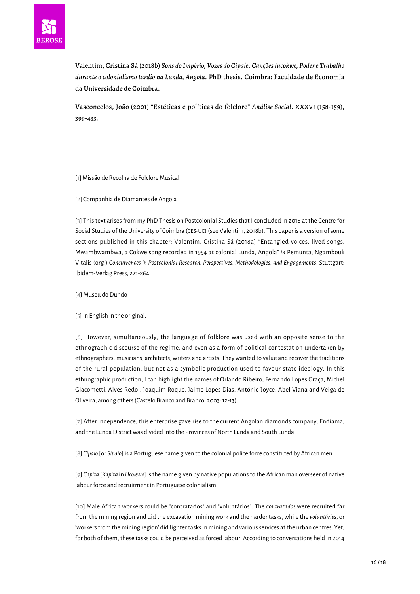

Valentim, Cristina Sá (2018b) *Sons do Império, Vozes do Cipale. Canções tucokwe, Poder e Trabalho durante o colonialismo tardio na Lunda, Angola.* PhD thesis. Coimbra: Faculdade de Economia da Universidade de Coimbra.

Vasconcelos, João (2001) "Estéticas e políticas do folclore" *Análise Social*. XXXVI (158-159), 399-433.

<span id="page-15-1"></span><span id="page-15-0"></span>[\[1\]](#page-0-0) Missão de Recolha de Folclore Musical

[\[2\]](#page-0-1) Companhia de Diamantes de Angola

<span id="page-15-2"></span>[[3](#page-0-2)] This text arises from my PhD Thesis on Postcolonial Studies that I concluded in 2018 at the Centre for Social Studies of the University of Coimbra (CES-UC) (see Valentim, 2018b). This paper is a version of some sections published in this chapter: Valentim, Cristina Sá (2018a) "Entangled voices, lived songs. Mwambwambwa, a Cokwe song recorded in 1954 at colonial Lunda, Angola" *in* Pemunta, Ngambouk Vitalis (org.) *Concurrences in Postcolonial Research. Perspectives, Methodologies, and Engagements*. Stuttgart: ibidem-Verlag Press, 221-264.

<span id="page-15-4"></span><span id="page-15-3"></span>[\[4\]](#page-0-3) Museu do Dundo

[\[5](#page-1-0)] In English in the original.

<span id="page-15-5"></span>[[6\]](#page-1-1) However, simultaneously, the language of folklore was used with an opposite sense to the ethnographic discourse of the regime, and even as a form of political contestation undertaken by ethnographers, musicians, architects, writers and artists. They wanted to value and recover the traditions of the rural population, but not as a symbolic production used to favour state ideology. In this ethnographic production, I can highlight the names of Orlando Ribeiro, Fernando Lopes Graça, Michel Giacometti, Alves Redol, Joaquim Roque, Jaime Lopes Dias, António Joyce, Abel Viana and Veiga de Oliveira, among others (Castelo Branco and Branco, 2003: 12-13).

<span id="page-15-6"></span>[[7\]](#page-2-0) After independence, this enterprise gave rise to the current Angolan diamonds company, Endiama, and the Lunda District was divided into the Provinces of North Lunda and South Lunda.

<span id="page-15-7"></span>[\[8\]](#page-2-1) *Cipaio* [or *Sipaio*] is a Portuguese name given to the colonial police force constituted by African men.

<span id="page-15-8"></span>[\[9\]](#page-2-2) *Capita* [*Kapita* in *Ucokwe*] is the name given by native populations to the African man overseer of native labour force and recruitment in Portuguese colonialism.

<span id="page-15-9"></span>[[10\]](#page-3-0) Male African workers could be "contratados" and "voluntários". The c*ontratados* were recruited far from the mining region and did the excavation mining work and the harder tasks, while the *voluntários*, or 'workers from the mining region' did lighter tasks in mining and various services at the urban centres. Yet, for both of them, these tasks could be perceived as forced labour. According to conversations held in 2014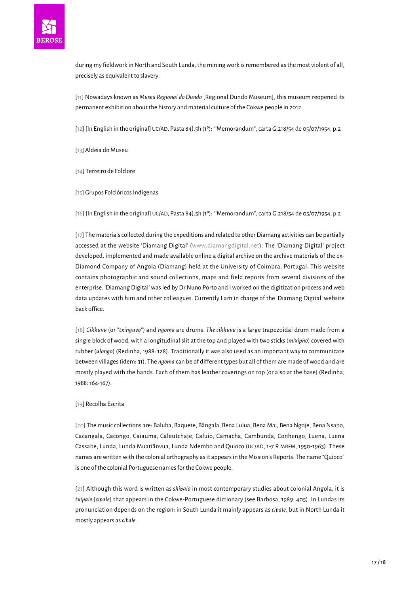

during my fieldwork in North and South Lunda, the mining work is remembered as the most violent of all, precisely as equivalent to slavery.

<span id="page-16-0"></span>[[11](#page-3-1)] Nowadays known as *Museu Regional do Dundo* [Regional Dundo Museum], this museum reopened its permanent exhibition about the history and material culture of the Cokwe people in 2012.

<span id="page-16-1"></span>[\[12\]](#page-3-2) [In English in the original] UC/AD, Pasta 84J.5h (1º): "'Memorandum", carta G.218/54 de 05/07/1954, p.2

<span id="page-16-2"></span>[\[13\]](#page-3-3) Aldeia do Museu

<span id="page-16-4"></span><span id="page-16-3"></span>[\[14](#page-3-4)] Terreiro de Folclore

[\[15\]](#page-3-5) Grupos Folclóricos Indígenas

<span id="page-16-5"></span>[\[16](#page-5-0)] [In English in the original] UC/AD, Pasta 84J.5h (1º): "'Memorandum", carta G.218/54 de 05/07/1954, p.2

<span id="page-16-6"></span>[\[17\]](#page-5-1) The materials collected during the expeditions and related to other Diamang activities can be partially accessed at the website 'Diamang Digital' [\(www.diamangdigital.net\)](http://www.diamangdigital.net). The 'Diamang Digital' project developed, implemented and made available online a digital archive on the archive materials of the ex-Diamond Company of Angola (Diamang) held at the University of Coimbra, Portugal. This website contains photographic and sound collections, maps and field reports from several divisions of the enterprise. 'Diamang Digital' was led by Dr Nuno Porto and I worked on the digitization process and web data updates with him and other colleagues. Currently I am in charge of the 'Diamang Digital' website back office.

<span id="page-16-7"></span>[[18\]](#page-6-0) *Cikhuvu* (or *"txinguvo"*) and *ngoma* are drums. *The cikhuvu* is a large trapezoidal drum made from a single block of wood, with a longitudinal slit at the top and played with two sticks (*mixipho*) covered with rubber (*ulongo*) (Redinha, 1988: 128). Traditionally it was also used as an important way to communicate between villages (idem: 31). The *ngoma* can be of different types but all of them are made of wood and are mostly played with the hands. Each of them has leather coverings on top (or also at the base) (Redinha, 1988: 164-167).

#### <span id="page-16-8"></span>[\[19](#page-6-1)] Recolha Escrita

<span id="page-16-9"></span>[\[20\]](#page-7-0) The music collections are: Baluba, Baquete, Bângala, Bena Lulua, Bena Mai, Bena Ngoje, Bena Nsapo, Cacangala, Cacongo, Caiauma, Caleutchaje, Caluio, Camacha, Cambunda, Conhengo, Luena, Luena Cassabe, Lunda, Lunda Muatiânvua, Lunda Ndembo and Quioco (UC/AD, 1-7 R MRFM, 1950-1963). These names are written with the colonial orthography as it appears in the Mission's Reports. The name "Quioco" is one of the colonial Portuguese names for the Cokwe people.

<span id="page-16-11"></span><span id="page-16-10"></span>[[21](#page-8-0)] Although this word is written as *shibalo* in most contemporary studies about colonial Angola, it is *txipale* [*cipale*] that appears in the Cokwe-Portuguese dictionary (see Barbosa, 1989: 405). In Lundas its pronunciation depends on the region: in South Lunda it mainly appears as *cipale*, but in North Lunda it mostly appears as *cibale.*